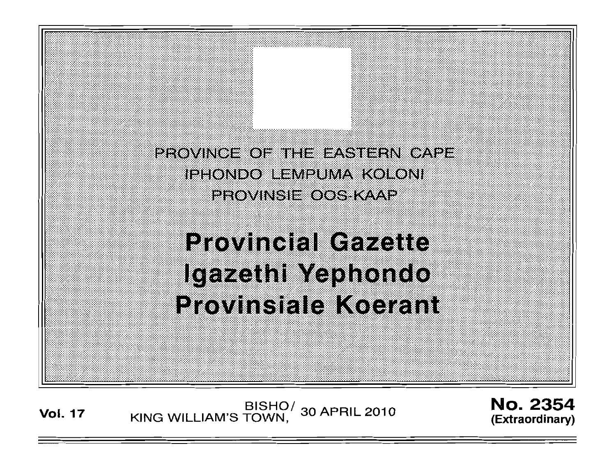PROVINCE OF THE EASTERN CAPE **IPHONDO LEMPUMA KOLONI** PROVINSIE OOS KAAP

**Provincial Gazette** Igazethi Yephondo Provinsiale Koerant

**Vol. <sup>17</sup>** BISHO/ KING WILLIAM'S TOWN, 30 APRIL 2010

**No. 2354** (Extraordinary)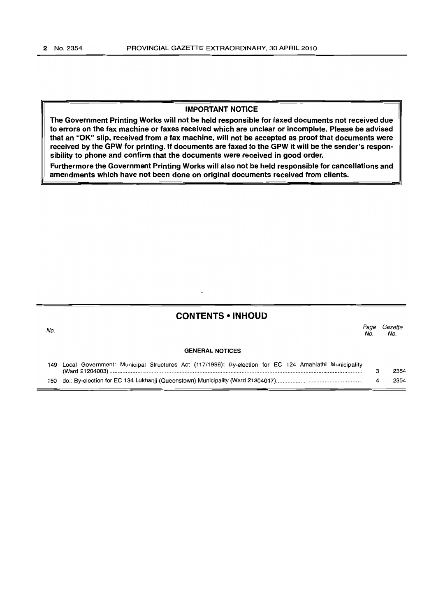No.

#### IMPORTANT NOTICE

The Government Printing Works will not be held responsible for faxed documents not received due to errors on the fax machine or faxes received which are unclear or incomplete. Please be advised that an "OK" slip, received from a fax machine, will not be accepted as proof that documents were received by the GPW for printing. If documents are faxed to the GPW it will be the sender's responsibility to phone and confirm that the documents were received in good order.

Furthermore the Government Printing Works will also not be held responsible for cancellations and amendments which have not been done on original documents received from clients.

| <b>CONTENTS • INHOUD</b> |  |
|--------------------------|--|
|--------------------------|--|

*Page Gazette* No. No.

#### GENERAL NOTICES

| 149 Local Government: Municipal Structures Act (117/1998): By-election for EC 124 Amahlathi Municipality |      |
|----------------------------------------------------------------------------------------------------------|------|
|                                                                                                          | 2354 |
|                                                                                                          | 2354 |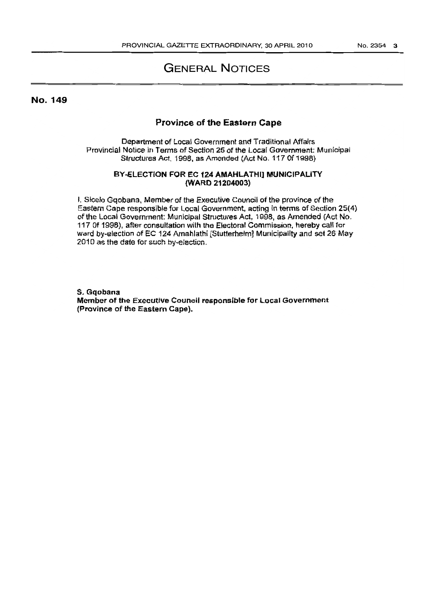# GENERAL NOTICES

No. 149

### Province of the Eastern Cape

Department of Local Government and Traditional Affairs Provincial Notice in Terms of Section 25 of the Local Government: Municipal Structures Act. 1998, as Amended (Act No. 117 Of 1998)

#### BY-ELECTION FOR EC 124 AMAHLATHI] MUNICIPALITY (WARD 21204003)

I. Sicelo Gqobana, Member of the Executive Council of the province of the Eastern Cape responsible for Local Government, acting in terms of Section 25(4) of the Local Government: Municipal Structures Act, 1998, as Amended (Act No. 117 Of 1998), after consultation with the Electoral Commission, hereby call for ward by-election of EC 124 Amahlathi [Stutferheim] Municipality and set 26·May 2010 as the date for such by-election.

S. Gqobana Member of the Executive Council respons[ble for Local Government (Province of the Eastern Cape).